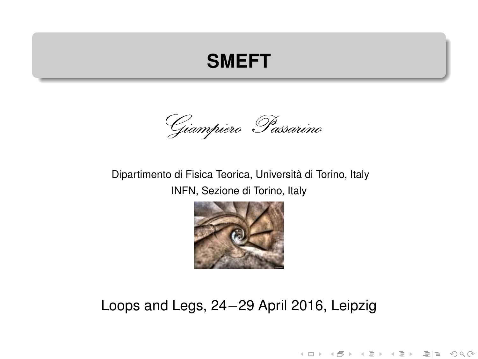### **SMEFT**

Giampiero Passarino

#### Dipartimento di Fisica Teorica, Universita di Torino, Italy ` INFN, Sezione di Torino, Italy



### Loops and Legs, 24−29 April 2016, Leipzig

K ロ > K @ > K ミ > K ミ > - ミ|ㄹ - 9 Q (\*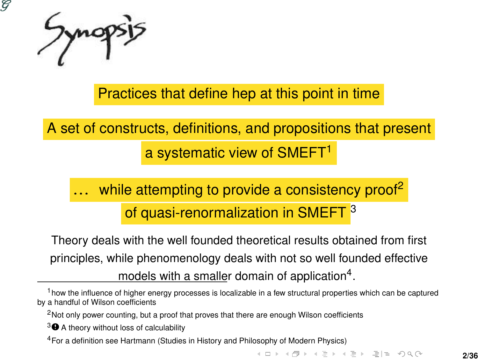

Practices that define hep at this point in time

A set of constructs, definitions, and propositions that present a systematic view of SMEFT<sup>1</sup>

## while attempting to provide a consistency proof<sup>2</sup> of quasi-renormalization in SMEFT<sup>3</sup>

Theory deals with the well founded theoretical results obtained from first principles, while phenomenology deals with not so well founded effective models with a smaller domain of application<sup>4</sup>.

<sup>2</sup>Not only power counting, but a proof that proves that there are enough Wilson coefficients

3<sup>O</sup> A theory without loss of calculability

<sup>4</sup>For a definition see Hartmann (Studies in History and Philosophy of Modern Physics)

K ロ > K @ > K ミ > K ミ > ' ミ(ㄹ) 9 Q @

<sup>1</sup>how the influence of higher energy processes is localizable in a few structural properties which can be captured by a handful of Wilson coefficients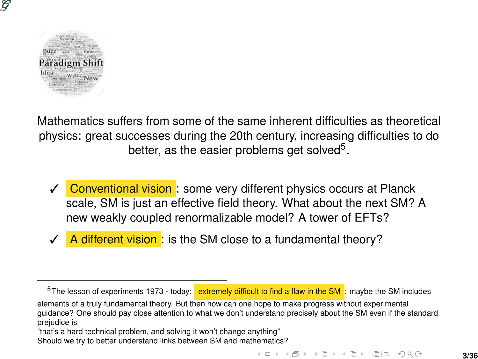

Mathematics suffers from some of the same inherent difficulties as theoretical physics: great successes during the 20th century, increasing difficulties to do better, as the easier problems get solved<sup>5</sup>.

- ✓ Conventional vision : some very different physics occurs at Planck scale, SM is just an effective field theory. What about the next SM? A new weakly coupled renormalizable model? A tower of EFTs?
- A different vision: is the SM close to a fundamental theory?

 $5$ The lesson of experiments 1973 - today: extremely difficult to find a flaw in the SM : maybe the SM includes

elements of a truly fundamental theory. But then how can one hope to make progress without experimental guidance? One should pay close attention to what we don't understand precisely about the SM even if the standard prejudice is

"that's a hard technical problem, and solving it won't change anything"

Should we try to better understand links between SM and mathematics?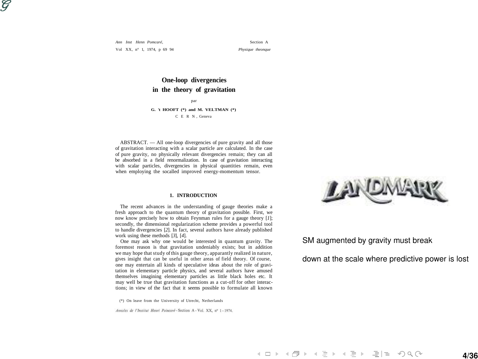ဗ

*Ann Inst Henn Pomcaré,* Section A Vol XX, n° 1, 1974, p 69 94 *Physique theonque*

**One-loop divergencies in the theory of gravitation** par **G. 't HOOFT (\*) and M. VELTMAN (\*)**

C E R N , Geneva

ABSTRACT. — All one-loop divergencies of pure gravity and all those of gravitation interacting with a scalar particle are calculated. In the case of pure gravity, no physically relevant divergencies remain; they can all be absorbed in a field renormalization. In case of gravitation interacting with scalar particles, divergencies in physical quantities remain, even when employing the socalled improved energy-momentum tensor.

#### **1. INTRODUCTION**

The recent advances in the understanding of gauge theories make a fresh approach to the quantum theory of gravitation possible. First, we now know precisely how to obtain Feynman rules for a gauge theory [*1*]; secondly, the dimensional regularization scheme provides a powerful tool to handle divergencies [*2*]. In fact, several authors have already published work using these methods [*3*], [*4*].

One may ask why one would be interested in quantum gravity. The foremost reason is that gravitation undeniably exists; but in addition we may hope that study of this gauge theory, apparantly realized in nature, gives insight that can be useful in other areas of field theory. Of course, one may entertain all kinds of speculative ideas about the role of gravitation in elementary particle physics, and several authors have amused themselves imagining elementary particles as little black holes etc. It may well be true that gravitation functions as a cut-off for other interactions; in view of the fact that it seems possible to formulate all known

(\*) On leave from the University of Utrecht, Netherlands

Annales de l'Institut Henri Poincaré - Section A - Vol. XX, nº 1 - 1974.



SM augmented by gravity must break

down at the scale where predictive power is lost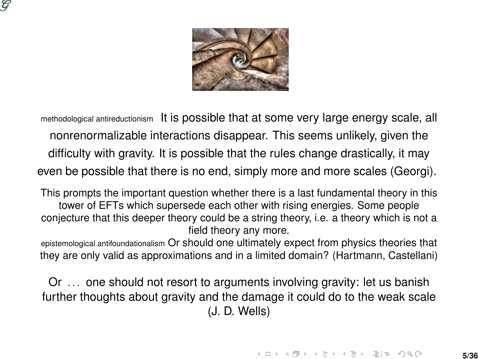



methodological antireductionism It is possible that at some very large energy scale, all nonrenormalizable interactions disappear. This seems unlikely, given the difficulty with gravity. It is possible that the rules change drastically, it may even be possible that there is no end, simply more and more scales (Georgi).

This prompts the important question whether there is a last fundamental theory in this tower of EFTs which supersede each other with rising energies. Some people conjecture that this deeper theory could be a string theory, i.e. a theory which is not a field theory any more.

epistemological antifoundationalism Or should one ultimately expect from physics theories that they are only valid as approximations and in a limited domain? (Hartmann, Castellani)

Or ... one should not resort to arguments involving gravity: let us banish further thoughts about gravity and the damage it could do to the weak scale (J. D. Wells)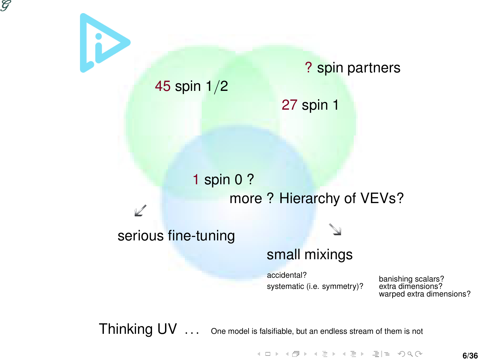



Thinking UV ... One model is falsifiable, but an endless stream of them is not

Kロト K個ト Kミト Kミト ミ性 の≪で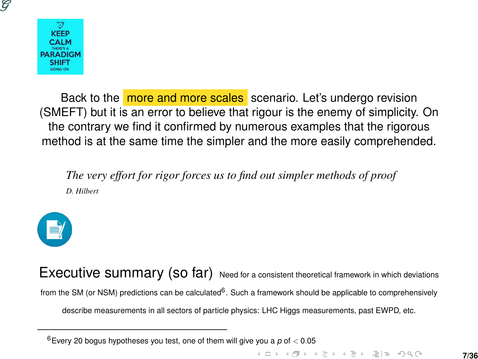



Back to the more and more scales scenario. Let's undergo revision (SMEFT) but it is an error to believe that rigour is the enemy of simplicity. On the contrary we find it confirmed by numerous examples that the rigorous method is at the same time the simpler and the more easily comprehended.

*The very effort for rigor forces us to find out simpler methods of proof D. Hilbert*



Executive summary (so far) Need for a consistent theoretical framework in which deviations from the SM (or NSM) predictions can be calculated<sup>6</sup>. Such a framework should be applicable to comprehensively describe measurements in all sectors of particle physics: LHC Higgs measurements, past EWPD, etc.

<sup>6</sup>Every 20 bogus hypotheses you test, one of them will give you a *p* of < 0.05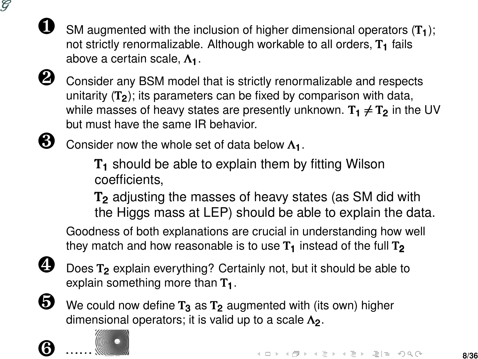

SM augmented with the inclusion of higher dimensional operators  $(T_1)$ ; not strictly renormalizable. Although workable to all orders,  $T_1$  fails above a certain scale, Λ1.



 $\bullet$  Consider any BSM model that is strictly renormalizable and respects unitarity  $(T_2)$ ; its parameters can be fixed by comparison with data, while masses of heavy states are presently unknown.  $T_1 \neq T_2$  in the UV but must have the same IR behavior.



 $\bigotimes$  Consider now the whole set of data below  $\Lambda_1$ .

 $T<sub>1</sub>$  should be able to explain them by fitting Wilson coefficients,

T<sup>2</sup> adjusting the masses of heavy states (as SM did with the Higgs mass at LEP) should be able to explain the data.

Goodness of both explanations are crucial in understanding how well they match and how reasonable is to use  $T_1$  instead of the full  $T_2$ 

Does  $T_2$  explain everything? Certainly not, but it should be able to explain something more than  $T_1$ .

 $\bullet$  We could now define  $T_3$  as  $T_2$  augmented with (its own) higher dimensional operators; it is valid up to a scale  $\Lambda$ <sub>2</sub>.



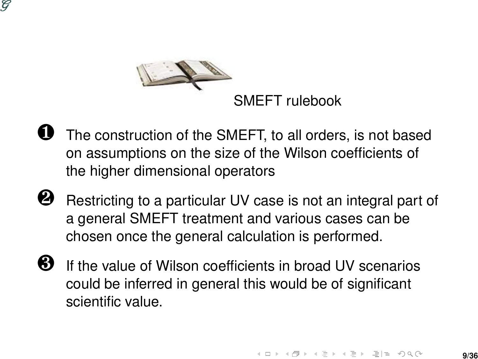



- The construction of the SMEFT, to all orders, is not based on assumptions on the size of the Wilson coefficients of the higher dimensional operators
- **2** Restricting to a particular UV case is not an integral part of a general SMEFT treatment and various cases can be chosen once the general calculation is performed.
- ❸ If the value of Wilson coefficients in broad UV scenarios could be inferred in general this would be of significant scientific value.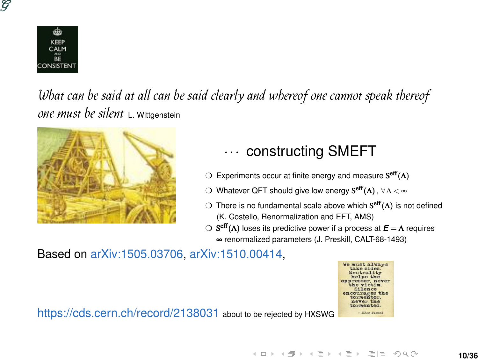



What can be said at all can be said clearly and whereof one cannot speak thereof one must be silent L. Wittgenstein



### ··· constructing SMEFT

 $\bigcirc$  Experiments occur at finite energy and measure Seff(Λ)

- $\bigcirc$  Whatever QFT should give low energy  $\mathbf{S}^{\text{eff}}(\mathbf{\Lambda})$  ,  $\forall$   $\Lambda$  <  $\infty$
- $\supset$  There is no fundamental scale above which  $S^{eff}(\Lambda)$  is not defined (K. Costello, Renormalization and EFT, AMS)
- ❍ S eff(Λ) loses its predictive power if a process at *E* = Λ requires
	- ∞ renormalized parameters (J. Preskill, CALT-68-1493)

Based on arXiv:1505.03706, arXiv:1510.00414,

never the compented - 2110 Wiene

**10/36**

https://cds.cern.ch/record/2138031 about to be rejected by HXSWG

K ロ ▶ K 何 ▶ K ヨ ▶ K ヨ ▶ 『 ヨ ヨ イロ ▶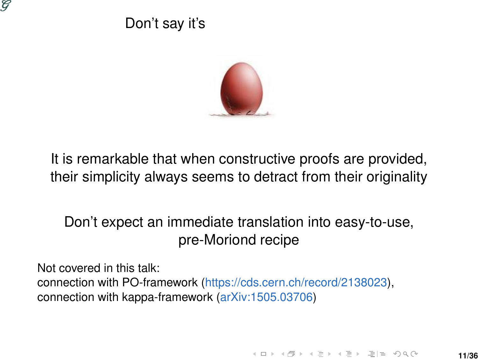

### Don't say it's



It is remarkable that when constructive proofs are provided, their simplicity always seems to detract from their originality

Don't expect an immediate translation into easy-to-use, pre-Moriond recipe

Not covered in this talk: connection with PO-framework (https://cds.cern.ch/record/2138023), connection with kappa-framework (arXiv:1505.03706)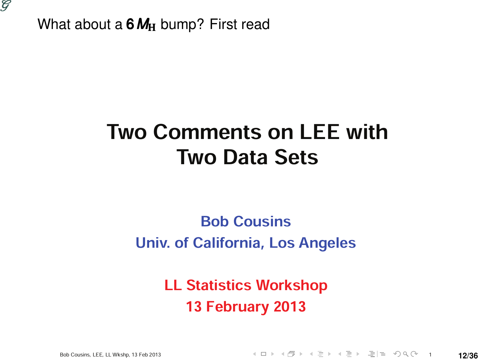

What about a 6MH<sub>H</sub> bump? First read

## Two Comments on LEE with Two Data Sets

### Bob Cousins Univ. of California, Los Angeles

LL Statistics Workshop 13 February 2013

Bob Cousins, LEE, LL Wkshp, 13 Feb 2013 <sup>1</sup> **12/36**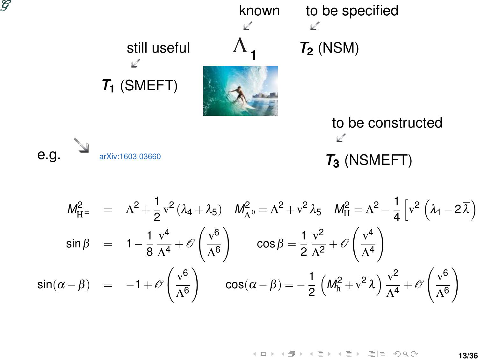

$$
M_{\text{H}^{\pm}}^2 = \Lambda^2 + \frac{1}{2}v^2(\lambda_4 + \lambda_5) \quad M_{\text{A}^0}^2 = \Lambda^2 + v^2\lambda_5 \quad M_{\text{H}}^2 = \Lambda^2 - \frac{1}{4}\left[v^2(\lambda_1 - 2\overline{\lambda})\right]
$$
  
\n
$$
\sin\beta = 1 - \frac{1}{8}\frac{v^4}{\Lambda^4} + \mathcal{O}\left(\frac{v^6}{\Lambda^6}\right) \quad \cos\beta = \frac{1}{2}\frac{v^2}{\Lambda^2} + \mathcal{O}\left(\frac{v^4}{\Lambda^4}\right)
$$
  
\n
$$
\sin(\alpha - \beta) = -1 + \mathcal{O}\left(\frac{v^6}{\Lambda^6}\right) \quad \cos(\alpha - \beta) = -\frac{1}{2}\left(M_{\text{h}}^2 + v^2\overline{\lambda}\right)\frac{v^2}{\Lambda^4} + \mathcal{O}\left(\frac{v^6}{\Lambda^6}\right)
$$

$$
4 \Box \rightarrow 4 \Box \rightarrow 4 \Xi \rightarrow 4 \Xi \rightarrow \Xi \vert \Xi \vert \Box \Box \Box \Box \Box \Box \Box
$$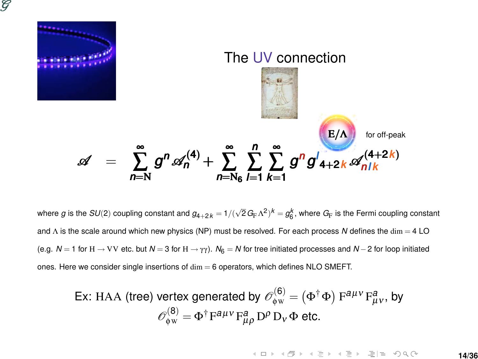



where  $g$  is the  $SU(2)$  coupling constant and  $g_{4+2k} = 1/(\sqrt{2}\,G_{\rm F}\,\Lambda^2)^k = g_6^k$ , where  $G_{\rm F}$  is the Fermi coupling constant and Λ is the scale around which new physics (NP) must be resolved. For each process *N* defines the dim = 4 LO (e.g. *N* = 1 for H → VV etc. but *N* = 3 for H → γ γ ). *N*<sup>6</sup> = *N* for tree initiated processes and *N* −2 for loop initiated ones. Here we consider single insertions of  $\dim = 6$  operators, which defines NLO SMEFT.

Ex: HAA (tree) vertex generated by 
$$
\mathcal{O}_{\phi w}^{(6)} = (\Phi^{\dagger} \Phi) F^{a\mu\nu} F_{\mu\nu}^a
$$
, by  

$$
\mathcal{O}_{\phi w}^{(8)} = \Phi^{\dagger} F^{a\mu\nu} F_{\mu\rho}^a D^\rho D_\nu \Phi \text{ etc.}
$$

K ロ > K @ > K 로 > K 로 > \_로 및 0 9 0 0 **14/36**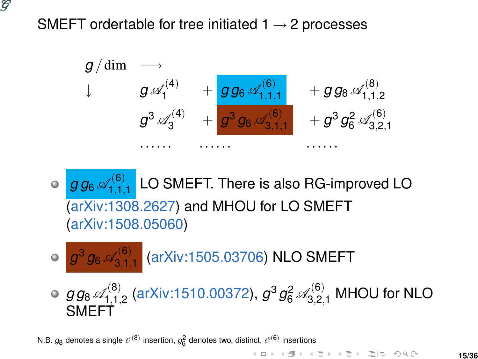

SMEFT ordertable for tree initiated  $1 \rightarrow 2$  processes



 $g$   $g_6$   $\mathscr{A}^{(6)}_{1.1.}$  $\frac{1}{1,1,1}$  LO SMEFT. There is also RG-improved LO (arXiv:1308.2627) and MHOU for LO SMEFT (arXiv:1508.05060)

$$
\circ \boxed{g^3 g_6 \mathscr{A}_{3,1,1}^{(6)}} \text{ (arXiv:1505.03706) NLO SMEFT}
$$

 $g$   $g_8$   $\mathscr{A}^{(8)}_{1.1.}$  $\mathcal{G}_{1,1,2}^{(8)}$  (arXiv:1510.00372),  $g^3 g_6^2 \mathscr{A}_{3,2,1}^{(6)}$  MHOU for NLO SMEFT

N.B.  $g_8$  denotes a single  $\mathscr{O}^{(8)}$  insertion,  $g_6^2$  denotes two, distinct,  $\mathscr{O}^{(6)}$  insertions

K ロ > K @ > K 로 > K 로 > \_로 및 0,000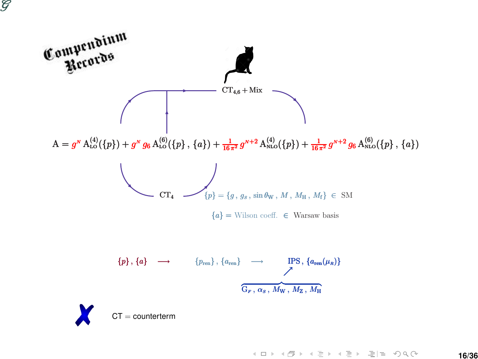

K ロ K K @ K K ミ K K ミ K 클 및 Y Q Q @ **16/36**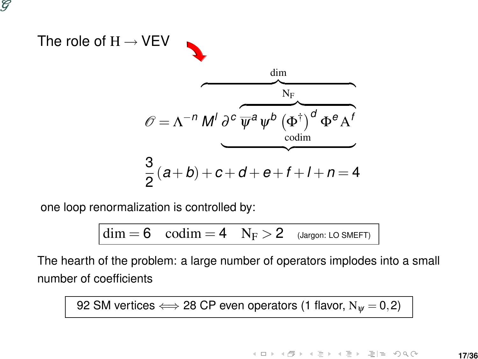

one loop renormalization is controlled by:

ဗ

 $\dim = 6$  codim  $= 4$  N<sub>F</sub>  $> 2$  (Jargon: LO SMEFT)

The hearth of the problem: a large number of operators implodes into a small number of coefficients

92 SM vertices  $\Longleftrightarrow$  28 CP even operators (1 flavor,  $N_w = 0,2$ )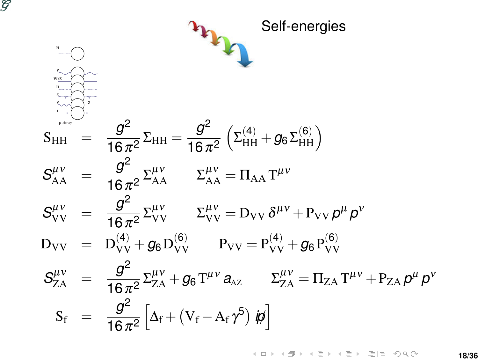

K ロ K K @ K K ミ K K ミ K … ミ|ㅋ YO Q @ **18/36**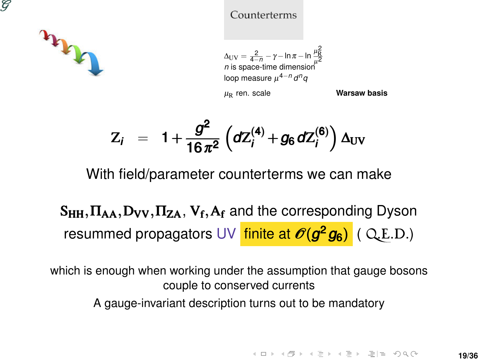



#### Counterterms

 $\Delta_{\rm UV} = \frac{2}{4-n} - \gamma - \ln \pi - \ln \frac{\mu_R^2}{\mu^2}$  $n$  is space-time dimension loop measure µ <sup>4</sup>−*<sup>n</sup> d nq*

µR ren. scale **Warsaw basis**

$$
Z_i = 1 + \frac{g^2}{16 \pi^2} \left( dZ_i^{(4)} + g_6 dZ_i^{(6)} \right) \Delta_{UV}
$$

With field/parameter counterterms we can make

 $\rm S_{HH}, \rm \Pi_{AA}, \rm D_{VV}, \Pi_{ZA}, \, \rm V_{f}, \rm A_{f}$  and the corresponding Dyson resummed propagators UV <mark>finite at  $\mathscr{O}(\mathcal{g}^2\mathcal{g}_6)$ </mark> ( Q.E.D.)

which is enough when working under the assumption that gauge bosons couple to conserved currents A gauge-invariant description turns out to be mandatory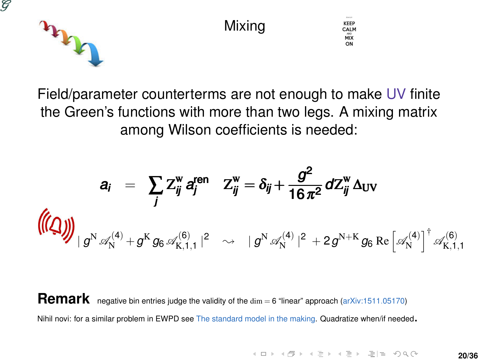



Field/parameter counterterms are not enough to make UV finite the Green's functions with more than two legs. A mixing matrix among Wilson coefficients is needed:

$$
a_i = \sum_{j} Z_{ij}^{w} a_{j}^{ren} \t Z_{ij}^{w} = \delta_{ij} + \frac{g^2}{16 \pi^2} dZ_{ij}^{w} \Delta_{UV}
$$
  

$$
\left(\left(\bigcup_{j} \right)_{j} \right)_{|g^N \mathscr{A}_{N}^{(4)} + g^K g_6 \mathscr{A}_{K,1,1}^{(6)}|^2 \rightarrow |g^N \mathscr{A}_{N}^{(4)}|^2 + 2g^{N+K} g_6 \operatorname{Re} \left[\mathscr{A}_{N}^{(4)}\right]^{\dagger} \mathscr{A}_{K,1,1}^{(6)}
$$

Remark negative bin entries judge the validity of the dim = 6 "linear" approach (arXiv:1511.05170) Nihil novi: for a similar problem in EWPD see The standard model in the making. Quadratize when/if needed.

> **K ロ > K 倒 > K ミ > K ミ > - ミ|= の Q ⊙ 20/36**

KEEP CALM  $MIX$ ON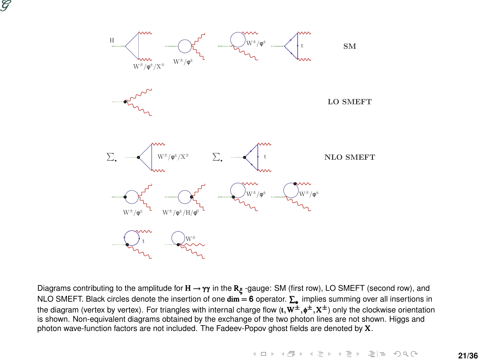



Diagrams contributing to the amplitude for  $\bf H\to \gamma\gamma$  in the  $\bf R_\xi$  -gauge: SM (first row), LO SMEFT (second row), and NLO SMEFT. Black circles denote the insertion of one **dim = 6** operator. **∑,** implies summing over all insertions in<br>the diagram (vertex by vertex). For triangles with internal charge flow (**t, W<sup>±</sup>,¢<sup>±</sup>, X<sup>±</sup>)** only the is shown. Non-equivalent diagrams obtained by the exchange of the two photon lines are not shown. Higgs and photon wave-function factors are not included. The Fadeev-Popov ghost fields are denoted by X.

(ロ) (@) (경) (경) (경) 경(B) 000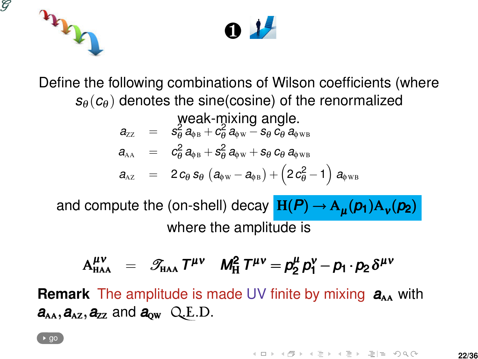



Define the following combinations of Wilson coefficients (where  $s_{\theta}(c_{\theta})$  denotes the sine(cosine) of the renormalized

$$
a_{zz} = \frac{\text{weak-mixing angle.}}{s_\theta^2 a_{\phi B} + c_\theta^2 a_{\phi W} - s_\theta c_\theta a_{\phi W B}}
$$
  
\n
$$
a_{AA} = c_\theta^2 a_{\phi B} + s_\theta^2 a_{\phi W} + s_\theta c_\theta a_{\phi W B}
$$
  
\n
$$
a_{AZ} = 2c_\theta s_\theta (a_{\phi W} - a_{\phi B}) + (2c_\theta^2 - 1) a_{\phi W B}
$$

and compute the (on-shell) decay  $H(P) \rightarrow A_{\mu}(p_1)A_{\nu}(p_2)$ where the amplitude is

$$
A^{\mu\nu}_{HAA} = \mathcal{F}_{HAA} T^{\mu\nu} \quad M_H^2 T^{\mu\nu} = \rho_2^{\mu} \rho_1^{\nu} - \rho_1 \cdot \rho_2 \delta^{\mu\nu}
$$

<span id="page-21-0"></span>**Remark** The amplitude is made UV finite by mixing  $a_{\lambda\lambda}$  with  $a_{AA}$ ,  $a_{AZ}$ ,  $a_{ZZ}$  and  $a_{ow}$  Q.E.D.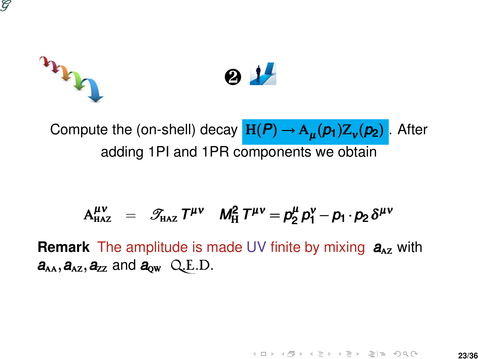

## m ❷

Compute the (on-shell) decay <mark>H(*P*) → A<sub>μ</sub>(*p*<sub>1</sub>)Z<sub>ν</sub>(*p*<sub>2</sub>)</mark> . After adding 1PI and 1PR components we obtain

$$
A^{\mu\nu}_{HAZ} = \mathcal{F}_{HAZ} T^{\mu\nu} \quad M_H^2 T^{\mu\nu} = \rho_2^{\mu} \rho_1^{\nu} - p_1 \cdot p_2 \delta^{\mu\nu}
$$

**Remark** The amplitude is made UV finite by mixing  $a_{2}$  with  $a_{AA}$ ,  $a_{AZ}$ ,  $a_{ZZ}$  and  $a_{OW}$  Q.E.D.

> **K ロ > K 倒 > K ミ > K ミ > - ミ|= の Q ⊙ 23/36**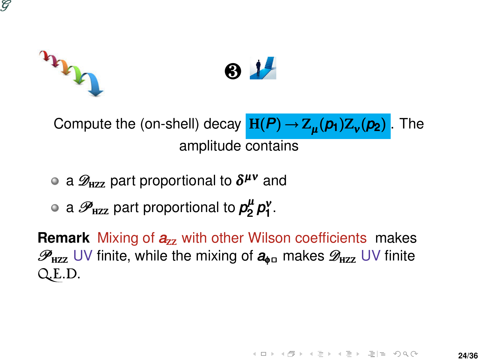# m ❸

Compute the (on-shell) decay  $H(P) \rightarrow Z_{\mu}(p_1) Z_{\nu}(p_2)$ ) . The amplitude contains

- a  $\mathscr{D}_{\textrm{\tiny HZZ}}$  part proportional to  $\boldsymbol{\delta^{\mu\nu}}$  and
- a  $\mathscr{P}_\texttt{HZZ}$  part proportional to  $\rho_2^\mu$ *p***<sup>μ</sup>**<sub>2</sub>*p*<sup>γ</sup><sub>1</sub>.

**Remark** Mixing of  $a_{2z}$  with other Wilson coefficients makes  $\mathscr{P}_{\text{HZZ}}$  UV finite, while the mixing of  $a_{\theta}$  makes  $\mathscr{D}_{\text{HZZ}}$  UV finite Q.E.D.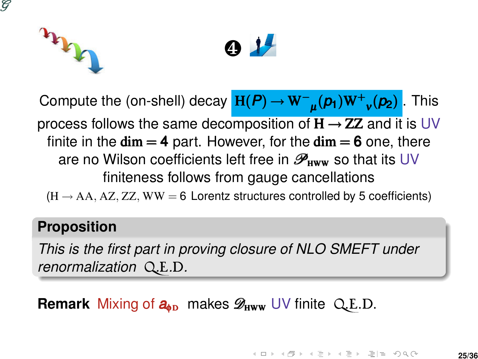



Compute the (on-shell) decay  $H(P)$  →  $W^-$ <sub>μ</sub>( $p_1$ )W<sup>+</sup><sub>ν</sub>( $p_2$ )  $\text{H}(P) \rightarrow \text{W}^{-}{}_{\mu}(p_{1})\text{W}^{+}{}_{\nu}(p_{2})$  . This process follows the same decomposition of  $H \rightarrow ZZ$  and it is UV finite in the  $\dim = 4$  part. However, for the  $\dim = 6$  one, there are no Wilson coefficients left free in  $\mathscr{P}_{\text{HWW}}$  so that its UV finiteness follows from gauge cancellations

 $(H \rightarrow AA, AZ, ZZ, WW = 6$  Lorentz structures controlled by 5 coefficients)

#### **Proposition**

*This is the first part in proving closure of NLO SMEFT under renormalization* Q*.*E*.*D*.*

**Remark** Mixing of  $a_{\text{db}}$  makes  $\mathscr{D}_{\text{HWW}}$  UV finite Q.E.D.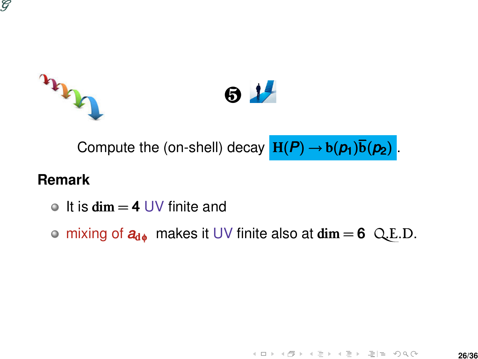





Compute the (on-shell) decay  $H(P) \rightarrow b(p_1)\overline{b(p_2)}$ .

#### **Remark**

It is  $\dim = 4$  UV finite and

 $\circ$  mixing of  $a_{d\phi}$  makes it UV finite also at dim = 6 Q.E.D.

<span id="page-25-0"></span>K ロ > K 倒 > K ミ > K ミ > - ミ|= の Q Q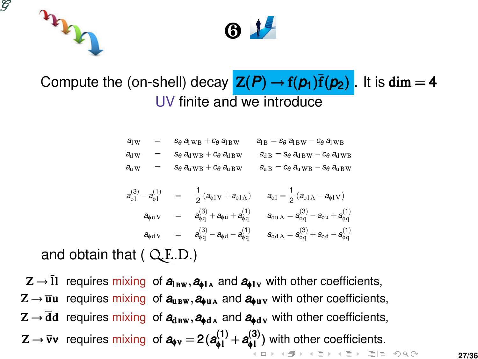



### Compute the (on-shell) decay  $Z(P) \rightarrow f(p_1)\overline{f(p_2)}$ . It is dim = 4 UV finite and we introduce

| $al$ w           | $=$ | $S_{\theta}$ a <sub>l</sub> W <sub>B</sub> + $c_{\theta}$ a <sub>l BW</sub>               | $a_{\text{IB}} = s_\theta a_{\text{IBW}} - c_\theta a_{\text{IWB}}$     |
|------------------|-----|-------------------------------------------------------------------------------------------|-------------------------------------------------------------------------|
| $a_{\rm{dW}}$    | $=$ | $s_{\theta}$ $a_{dWB} + c_{\theta}$ $a_{dBW}$                                             | $a_{\text{dB}} = s_{\theta} a_{\text{dBW}} - c_{\theta} a_{\text{dWB}}$ |
| $a_\mathrm{u}$ w | $=$ | $S_{\theta}$ $a_{\text{u} \text{W}}$ <sub>B</sub> + $c_{\theta}$ $a_{\text{u} \text{BW}}$ | $a_{\rm u\,B} = c_{\theta} a_{\rm u\,WB} - s_{\theta} a_{\rm u\,BW}$    |

$$
\begin{array}{rclcrcl} a^{(3)}_{\varphi 1} - a^{(1)}_{\varphi 1} & = & \frac{1}{2} \left( a_{\varphi 1 V} + a_{\varphi 1 A} \right) & a_{\varphi 1} = \frac{1}{2} \left( a_{\varphi 1 A} - a_{\varphi 1 V} \right) \\ a_{\varphi u \, V} & = & a^{(3)}_{\varphi q} + a_{\varphi u} + a^{(1)}_{\varphi q} & a_{\varphi u \, A} = a^{(3)}_{\varphi q} - a_{\varphi u} + a^{(1)}_{\varphi q} \\ a_{\varphi d \, V} & = & a^{(3)}_{\varphi q} - a_{\varphi d} - a^{(1)}_{\varphi q} & a_{\varphi d \, A} = a^{(3)}_{\varphi q} + a_{\varphi d} - a^{(1)}_{\varphi q} \end{array}
$$

and obtain that ( Q.E.D.)

 $Z \rightarrow \overline{\mathbf{l}}$  requires mixing of  $a_{\mathbf{B}w}, a_{\mathbf{0}1A}$  and  $a_{\mathbf{0}1v}$  with other coefficients,  $Z \rightarrow \overline{u}u$  requires mixing of  $a_{u B w}$ ,  $a_{v u A}$  and  $a_{v u v}$  with other coefficients,  $Z \rightarrow \overline{d}d$  requires mixing of  $a_{d B W}$ ,  $a_{d A}$  and  $a_{d V}$  with other coefficients,  $Z \rightarrow \overline{v}v$  requires mixing of  $a_{\phi v} = 2(a_{\phi 1}^{(1)} + a_{\phi 1}^{(3)})$  $a_{\phi \nu} = 2(a_{\phi 1}^{(1)} + a_{\phi 1}^{(3)})$  $\binom{10}{0}$  with other coefficients.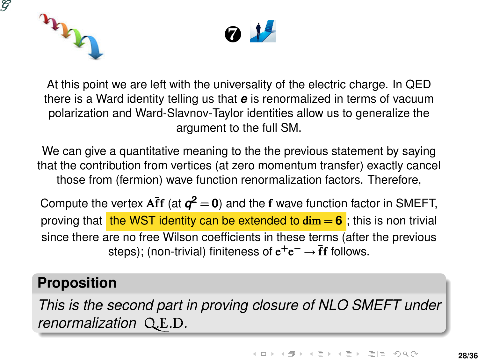





At this point we are left with the universality of the electric charge. In QED there is a Ward identity telling us that *e* is renormalized in terms of vacuum polarization and Ward-Slavnov-Taylor identities allow us to generalize the argument to the full SM.

We can give a quantitative meaning to the the previous statement by saying that the contribution from vertices (at zero momentum transfer) exactly cancel those from (fermion) wave function renormalization factors. Therefore,

Compute the vertex  $A\bar{f}f$  (at  $q^2 = 0$ ) and the f wave function factor in SMEFT, proving that the WST identity can be extended to  $\dim = 6$ ; this is non trivial since there are no free Wilson coefficients in these terms (after the previous steps); (non-trivial) finiteness of  $e^+e^-\rightarrow \overline{f}f$  follows.

#### **Proposition**

*This is the second part in proving closure of NLO SMEFT under renormalization* Q*.*E*.*D*.*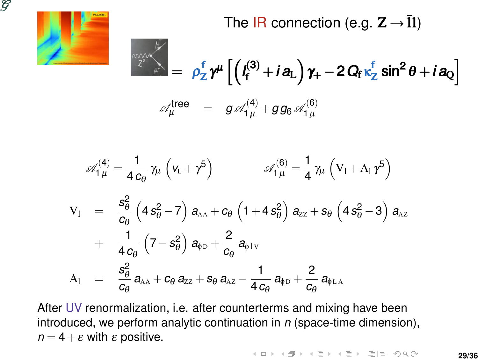

The IR connection (e.g.  $Z \rightarrow \overline{1}l$ )

$$
\mathscr{A}_{\mu}^{\text{tree}} = \rho_Z^f \gamma^{\mu} \left[ \left( I_f^{(3)} + i a_L \right) \gamma_+ - 2 Q_f \kappa_Z^f \sin^2 \theta + i a_Q \right]
$$
  

$$
\mathscr{A}_{\mu}^{\text{tree}} = g \mathscr{A}_{1 \mu}^{(4)} + g g_6 \mathscr{A}_{1 \mu}^{(6)}
$$

$$
\begin{array}{lcl} \mathscr{A}_{1\,\mu}^{(4)} = \frac{1}{4\,c_\theta}\,\gamma_\mu\,\left(\nu_{\scriptscriptstyle L} + \gamma^5\right) & \mathscr{A}_{1\,\mu}^{(6)} = \frac{1}{4}\,\gamma_\mu\,\left(V_{1} + A_{1}\,\gamma^5\right) \\[0.15in] \vspace{0.1in} \begin{array}{lcl} \displaystyle V_{1} & = & \displaystyle \frac{s_\theta^2}{c_\theta}\,\left(4\,s_\theta^2 - 7\right)\,a_{\scriptscriptstyle{\text{AA}}} + c_\theta\,\left(1 + 4\,s_\theta^2\right)\,a_{\scriptscriptstyle{\text{ZZ}}} + s_\theta\,\left(4\,s_\theta^2 - 3\right)\,a_{\scriptscriptstyle{\text{AZ}}} \\[0.1in] \vspace{0.1in} \end{array} \\[0.1in] \vspace{0.1in} \vspace{0.1in} \begin{array}{lcl} \displaystyle V_{1} & = & \displaystyle \frac{s_\theta^2}{4\,c_\theta}\,\left(7 - s_\theta^2\right)\,a_{\scriptscriptstyle{\Phi}} \, \mathrm{d}_{\scriptscriptstyle{\text{QD}}} + \displaystyle \frac{2}{c_\theta}\,a_{\scriptscriptstyle{\text{QD}}} \\[0.1in] \displaystyle V_{2} & = & \displaystyle \frac{s_\theta^2}{c_\theta}\,a_{\scriptscriptstyle{\text{AA}}} + c_\theta\,a_{\scriptscriptstyle{\text{ZZ}}} + s_\theta\,a_{\scriptscriptstyle{\text{AZ}}} - \displaystyle \frac{1}{4\,c_\theta}\,a_{\scriptscriptstyle{\text{QD}}} + \displaystyle \frac{2}{c_\theta}\,a_{\scriptscriptstyle{\text{Q}} \, \mathrm{A}} \, \mathrm{d}_{\scriptscriptstyle{\text{Q}} \, \mathrm{A}} \end{array} \end{array}
$$

After UV renormalization, i.e. after counterterms and mixing have been introduced, we perform analytic continuation in *n* (space-time dimension),  $n = 4 + \varepsilon$  with  $\varepsilon$  positive.

**K ロ > K 倒 > K ミ > K ミ > - ミ|= の Q ⊙**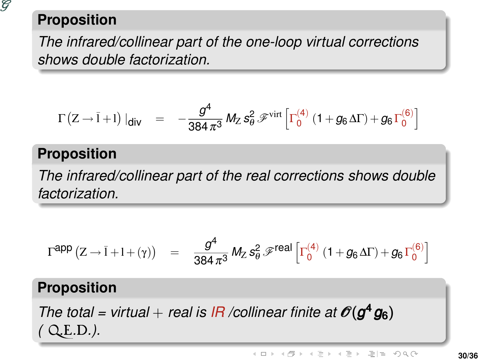

### **Proposition**

*The infrared/collinear part of the one-loop virtual corrections shows double factorization.*

$$
\Gamma\left(Z \to \bar{l} + l\right)|_{\text{div}} \quad = \quad -\frac{g^4}{384\,\pi^3}\,M_Z\,s_\theta^2\,\mathscr{F}^{\mathrm{virt}}\left[\Gamma_0^{(4)}\left(1 + g_6\,\Delta\Gamma\right) + g_6\,\Gamma_0^{(6)}\right]
$$

### **Proposition**

*The infrared/collinear part of the real corrections shows double factorization.*

$$
\Gamma^{\text{app}}\left(Z \to \bar{l} + l + (\gamma)\right) \quad = \quad \frac{g^4}{384 \,\pi^3} \, M_Z \, s_\theta^2 \, \mathscr{F}^{\text{real}}\left[\Gamma_0^{(4)} \left(1 + g_6 \Delta \Gamma \right) + g_6 \, \Gamma_0^{(6)}\right]
$$

### **Proposition**

*The total = virtual + real is IR /collinear finite at*  $\mathscr{O}(g^4 g_6)$ *(* Q*.*E*.*D*.).*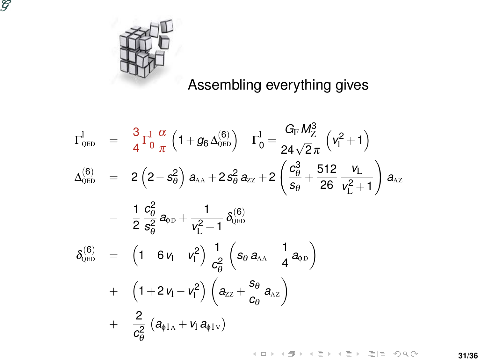



### Assembling everything gives

K ロ > K @ > K ミ > K ミ > - ミ|ㄹ -9 Q @

$$
\begin{array}{lcl} \Gamma_{\text{\tiny QED}}^{\text{I}} & = & \frac{3}{4}\Gamma_{0}^{\text{I}}\frac{\alpha}{\pi}\left(1+g_{6}\Delta_{\text{\tiny QED}}^{(6)}\right) & \Gamma_{0}^{\text{I}}=\frac{G_{\text{F}}M_{2}^{3}}{24\sqrt{2}\pi}\left(V_{1}^{2}+1\right) \\ \\ \Delta_{\text{\tiny QED}}^{(6)} & = & 2\left(2-s_{\theta}^{2}\right)a_{\text{AA}}+2s_{\theta}^{2}a_{\text{ZZ}}+2\left(\frac{c_{\theta}^{3}}{s_{\theta}}+\frac{512}{26}\frac{V_{\text{L}}}{V_{\text{L}}^{2}+1}\right)a_{\text{AZ}} \\ \\ & & - & \frac{1}{2}\frac{c_{\theta}^{2}}{s_{\theta}^{2}}a_{\text{PD}}+\frac{1}{V_{\text{L}}^{2}+1}\delta_{\text{QED}}^{(6)} \\ \\ \delta_{\text{QED}}^{(6)} & = & \left(1-6\,V_{\text{I}}-V_{\text{I}}^{2}\right)\frac{1}{c_{\theta}^{2}}\left(s_{\theta}\,a_{\text{AA}}-\frac{1}{4}\,a_{\text{PD}}\right) \\ \\ & & + & \left(1+2\,V_{\text{I}}-V_{\text{I}}^{2}\right)\left(a_{\text{ZZ}}+\frac{s_{\theta}}{c_{\theta}}\,a_{\text{AZ}}\right) \\ \\ & & + & \frac{2}{c_{\theta}^{2}}\left(a_{\text{QIA}}+V_{\text{I}}\,a_{\text{QIA}}\right) \end{array}
$$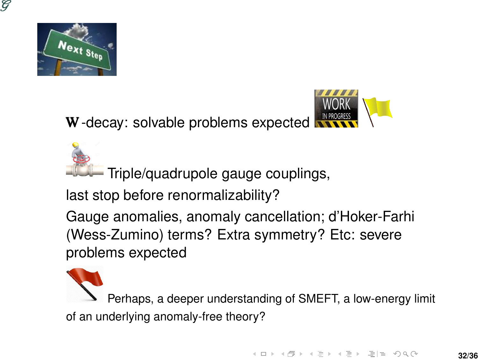



Triple/quadrupole gauge couplings,

last stop before renormalizability?

Gauge anomalies, anomaly cancellation; d'Hoker-Farhi (Wess-Zumino) terms? Extra symmetry? Etc: severe problems expected

Perhaps, a deeper understanding of SMEFT, a low-energy limit of an underlying anomaly-free theory?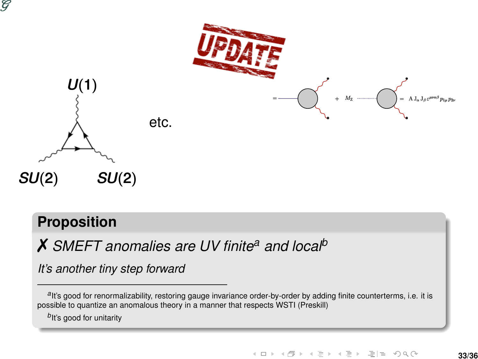

#### **Proposition**

✗ *SMEFT anomalies are UV finite<sup>a</sup> and local<sup>b</sup>*

*It's another tiny step forward*

alt's good for renormalizability, restoring gauge invariance order-by-order by adding finite counterterms, i.e. it is possible to quantize an anomalous theory in a manner that respects WSTI (Preskill)

*b* It's good for unitarity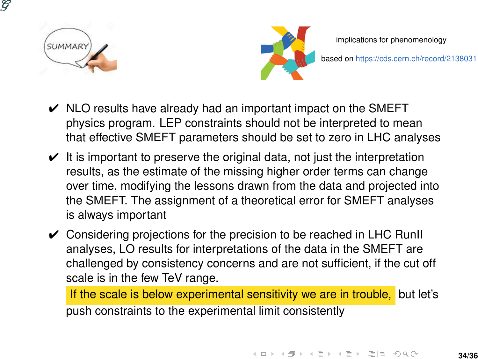



implications for phenomenology

based on https://cds.cern.ch/record/2138031

- $\vee$  NLO results have already had an important impact on the SMEFT physics program. LEP constraints should not be interpreted to mean that effective SMEFT parameters should be set to zero in LHC analyses
- $\vee$  It is important to preserve the original data, not just the interpretation results, as the estimate of the missing higher order terms can change over time, modifying the lessons drawn from the data and projected into the SMEFT. The assignment of a theoretical error for SMEFT analyses is always important
- $\checkmark$  Considering projections for the precision to be reached in LHC RunII analyses, LO results for interpretations of the data in the SMEFT are challenged by consistency concerns and are not sufficient, if the cut off scale is in the few TeV range.

If the scale is below experimental sensitivity we are in trouble, but let's push constraints to the experimental limit consistently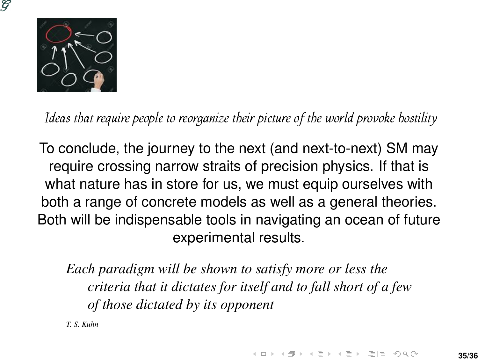



Ideas that require people to reorganize their picture of the world provoke hostility

To conclude, the journey to the next (and next-to-next) SM may require crossing narrow straits of precision physics. If that is what nature has in store for us, we must equip ourselves with both a range of concrete models as well as a general theories. Both will be indispensable tools in navigating an ocean of future experimental results.

*Each paradigm will be shown to satisfy more or less the criteria that it dictates for itself and to fall short of a few of those dictated by its opponent*

*T. S. Kuhn*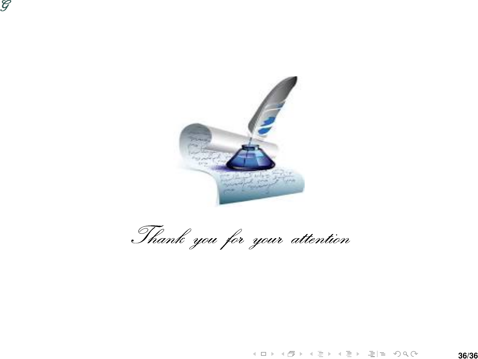



Thank you for your attention

**K ロ > K 倒 > K ミ > K ミ > - ミ|= の Q ⊙**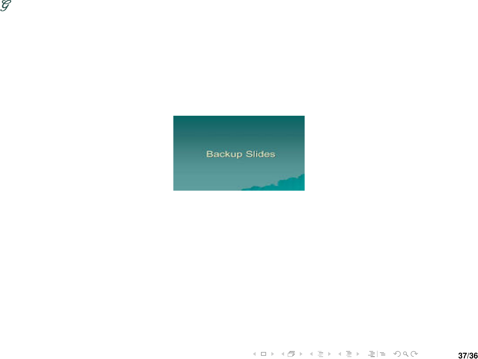



K ロ > K 御 > K 君 > K 君 > 【君 ≥ りな◎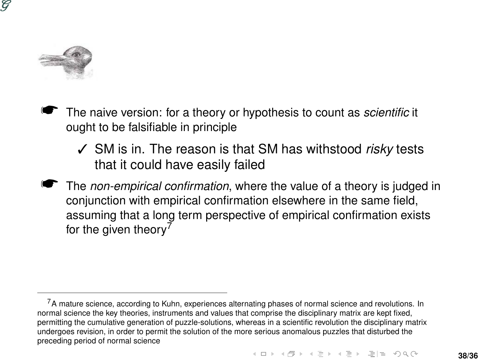

- The naive version: for a theory or hypothesis to count as *scientific* it ought to be falsifiable in principle
	- ✓ SM is in. The reason is that SM has withstood *risky* tests that it could have easily failed
- ☛ The *non-empirical confirmation*, where the value of a theory is judged in conjunction with empirical confirmation elsewhere in the same field, assuming that a long term perspective of empirical confirmation exists for the given theory<sup>7</sup>

 $7A$  mature science, according to Kuhn, experiences alternating phases of normal science and revolutions. In normal science the key theories, instruments and values that comprise the disciplinary matrix are kept fixed, permitting the cumulative generation of puzzle-solutions, whereas in a scientific revolution the disciplinary matrix undergoes revision, in order to permit the solution of the more serious anomalous puzzles that disturbed the preceding period of normal science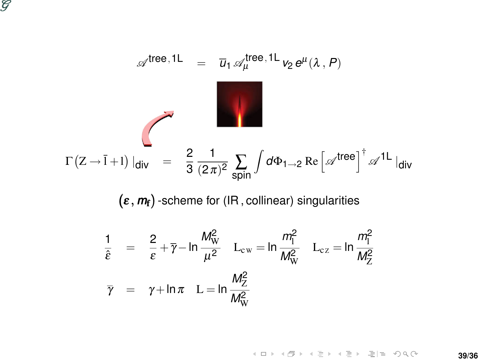

$$
\mathscr{A}^{\text{tree},1L} = \overline{u}_1 \mathscr{A}_{\mu}^{\text{tree},1L} v_2 e^{\mu} (\lambda, P)
$$
  

$$
\Gamma(Z \to \overline{I} + I) |_{\text{div}} = \frac{2}{3} \frac{1}{(2\pi)^2} \sum_{\text{spin}} \int d\Phi_{1\to 2} \text{Re} \left[ \mathscr{A}^{\text{tree}} \right]^{\dagger} \mathscr{A}^{1L} |_{\text{div}}
$$

(ε, *m*<sub>f</sub>) -scheme for (IR, collinear) singularities

$$
\frac{1}{\hat{\epsilon}} = \frac{2}{\epsilon} + \overline{\gamma} - \ln \frac{M_W^2}{\mu^2} \quad L_{cw} = \ln \frac{m_\Gamma^2}{M_W^2} \quad L_{cz} = \ln \frac{m_\Gamma^2}{M_Z^2}
$$
\n
$$
\overline{\gamma} = \gamma + \ln \pi \quad L = \ln \frac{M_Z^2}{M_W^2}
$$

K ロ > K 倒 > K ミ > K ミ > [ 콘 H = K) Q Q ©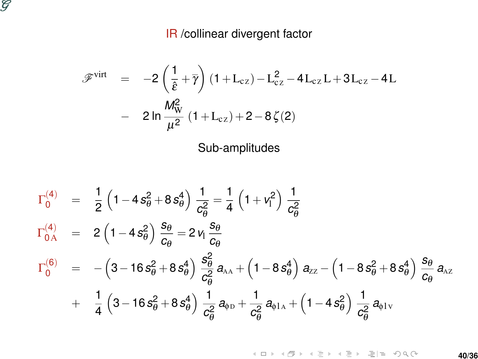

#### IR /collinear divergent factor

$$
\begin{array}{rcl} \mathscr{F}^{\text{virt}} & = & -2 \left( \frac{1}{\hat{\epsilon}} + \overline{\gamma} \right) (1 + L_{cz}) - L_{cz}^2 - 4 L_{cz} L + 3 L_{cz} - 4 L \\ \\ & & - 2 \ln \frac{M_W^2}{\mu^2} (1 + L_{cz}) + 2 - 8 \zeta(2) \end{array}
$$

Sub-amplitudes

$$
\begin{array}{lcl} \Gamma_0^{(4)} & = & \frac{1}{2} \left( 1 - 4 \, s_\theta^2 + 8 \, s_\theta^4 \right) \frac{1}{c_\theta^2} = \frac{1}{4} \left( 1 + v_1^2 \right) \frac{1}{c_\theta^2} \\\\ \Gamma_{0{\rm A}}^{(4)} & = & 2 \left( 1 - 4 \, s_\theta^2 \right) \frac{s_\theta}{c_\theta} = 2 \, v_1 \frac{s_\theta}{c_\theta} \\\\ \Gamma_0^{(6)} & = & - \left( 3 - 16 \, s_\theta^2 + 8 \, s_\theta^4 \right) \frac{s_\theta^2}{c_\theta^2} \, a_{\rm AA} + \left( 1 - 8 \, s_\theta^4 \right) \, a_{\rm ZZ} - \left( 1 - 8 \, s_\theta^2 + 8 \, s_\theta^4 \right) \frac{s_\theta}{c_\theta} \, a_{\rm AZ} \\\\ & & + & \frac{1}{4} \left( 3 - 16 \, s_\theta^2 + 8 \, s_\theta^4 \right) \frac{1}{c_\theta^2} \, a_{\varphi{\rm D}} + \frac{1}{c_\theta^2} \, a_{\varphi{\rm IA}} + \left( 1 - 4 \, s_\theta^2 \right) \frac{1}{c_\theta^2} \, a_{\varphi{\rm IV}} \end{array}
$$

K ロ > K 倒 > K ミ > K ミ > [ 콘 H = K) Q Q Q **40/36**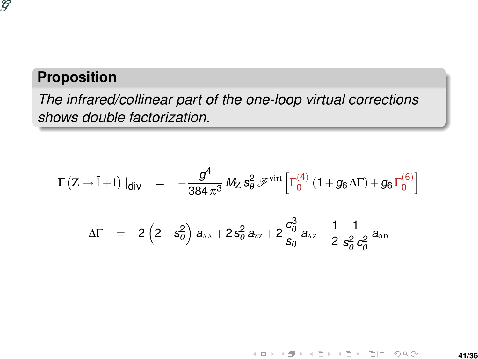

### **Proposition**

*The infrared/collinear part of the one-loop virtual corrections shows double factorization.*

$$
\Gamma(Z \to \bar{I} + I) \mid_{\text{div}} = -\frac{g^4}{384 \pi^3} M_Z s_\theta^2 \mathcal{F}^{\text{virt}} \left[ \Gamma_0^{(4)} \left( 1 + g_6 \Delta \Gamma \right) + g_6 \Gamma_0^{(6)} \right]
$$
\n
$$
\Delta \Gamma = 2 \left( 2 - s_\theta^2 \right) a_{AA} + 2 s_\theta^2 a_{ZZ} + 2 \frac{c_\theta^3}{s_\theta} a_{AZ} - \frac{1}{2} \frac{1}{s_\theta^2 c_\theta^2} a_{\phi D}
$$

K ロ > K 個 > K ミ > K ミ > ' ミ|'=' K) Q @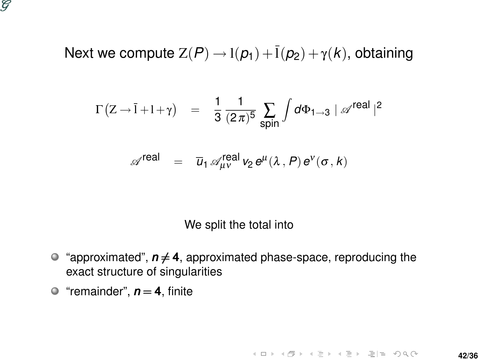

### Next we compute  $Z(P) \rightarrow l(p_1) + \overline{l}(p_2) + \gamma(k)$ , obtaining

$$
\Gamma(Z \to \bar{I} + I + \gamma) = \frac{1}{3} \frac{1}{(2\pi)^5} \sum_{\text{spin}} \int d\Phi_{1 \to 3} | \mathscr{A}^{\text{real}} |^2
$$

$$
\mathscr{A}^{\text{real}} \;\; = \;\; \overline{u}_1 \, \mathscr{A}^{\text{real}}_{\mu\nu} \, v_2 \, e^\mu (\lambda \,, P) \, e^\nu (\sigma \,, k)
$$

We split the total into

- $\bullet$  "approximated",  $n \neq 4$ , approximated phase-space, reproducing the exact structure of singularities
- $\bullet$  "remainder",  $n = 4$ , finite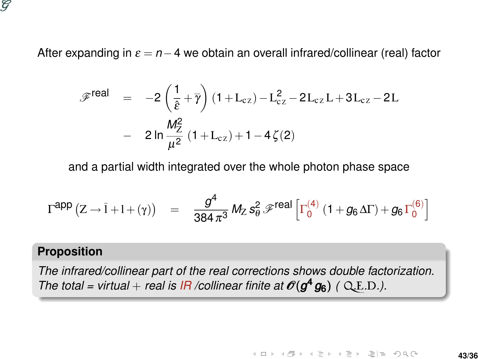

After expanding in  $\varepsilon = n-4$  we obtain an overall infrared/collinear (real) factor

$$
\begin{array}{lcl} \mathscr{F}^{real} & = & -2 \left( \frac{1}{\hat{\epsilon}} + \overline{\gamma} \right) (1 + L_{cz}) - L_{cz}^2 - 2 L_{cz} L + 3 L_{cz} - 2 L \\ \\ & & - & 2 \ln \frac{M_Z^2}{\mu^2} \left( 1 + L_{cz} \right) + 1 - 4 \, \zeta(2) \end{array}
$$

and a partial width integrated over the whole photon phase space

$$
\Gamma^{\text{app}}\left(Z \to \bar{I} + I + (\gamma)\right) = \frac{g^4}{384 \pi^3} M_Z s_\theta^2 \mathcal{F}^{\text{real}}\left[\Gamma_0^{(4)}\left(1 + g_6 \Delta \Gamma\right) + g_6 \Gamma_0^{(6)}\right]
$$

#### **Proposition**

*The infrared/collinear part of the real corrections shows double factorization. The total = virtual + real is*  $IR$  */collinear finite at*  $O(g^4 g_6)$  *( Q.E.D.).*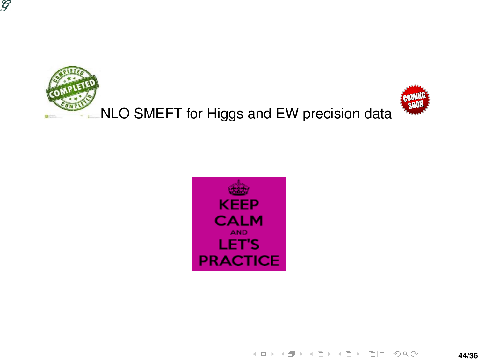





K ロ > K @ > K 코 > K 코 > [코] ≥ 900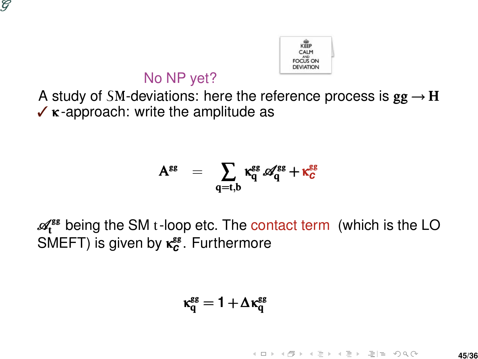



### No NP yet?

A study of SM-deviations: here the reference process is  $gg \rightarrow H$  $\checkmark$  κ-approach: write the amplitude as

$$
\mathbf{A}^{\text{gg}} = \sum_{\mathbf{q}=\mathbf{t},\mathbf{b}} \kappa^{\text{gg}}_{\mathbf{q}} \mathscr{A}^{\text{gg}}_{\mathbf{q}} + \kappa^{\text{gg}}_{\mathbf{C}}
$$

 $\mathscr{A}_{t}^{\mathsf{ss}}$  being the SM t-loop etc. The contact term (which is the LO SMEFT) is given by **κ<sup>εε</sup>.** Furthermore

$$
\kappa_q^{\text{gg}}=1+\Delta\kappa_q^{\text{gg}}
$$

K ロ K K @ K K ヨ K K ヨ K (日) - 최 비 10 Q Q **45/36**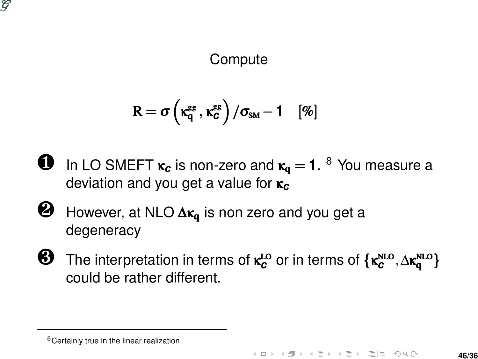

**Compute** 

$$
R = \sigma\left(\kappa_q^{gg}, \kappa_c^{gg}\right)/\sigma_{\scriptscriptstyle SM} - 1 \quad [\%]
$$

- **U** In LO SMEFT  $\kappa_c$  is non-zero and  $\kappa_q = 1$ . <sup>8</sup> You measure a deviation and you get a value for κ*<sup>c</sup>*
- $\bigotimes$  However, at NLO  $\Delta \kappa_q$  is non zero and you get a degeneracy
- **8** The interpretation in terms of κ<sup>Lo</sup> or in terms of {κ<sup>NLO</sup>, ∆κ<sup>NLO</sup>} could be rather different.

<sup>8</sup>Certainly true in the linear realization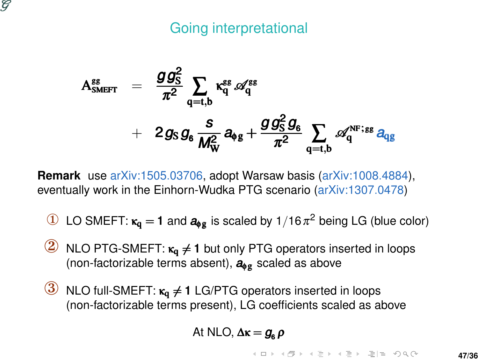#### ဗ

### Going interpretational

$$
\begin{array}{lcl} A^{gs}_{\scriptscriptstyle \text{SMEFT}} & = & \displaystyle \frac{g \, g^{2}_{\scriptscriptstyle \text{S}}}{\pi^2} \, \sum_{\scriptscriptstyle q=t,b} \kappa^{ss}_{\scriptscriptstyle q} \, \mathscr{A}^{ss}_{\scriptscriptstyle q} \\[2mm] & + & \displaystyle 2 \, g_{\scriptscriptstyle \text{S}} \, g_{\scriptscriptstyle 6} \, \frac{s}{M^{2}_{\scriptscriptstyle W}} \, a_{\scriptscriptstyle \text{S}} \, s + \frac{g \, g^{2}_{\scriptscriptstyle \text{S}} \, g_{\scriptscriptstyle 6}}{\pi^2} \, \sum_{\scriptscriptstyle q=t,b} \, \mathscr{A}^{\scriptscriptstyle \text{NF};ss}_{\scriptscriptstyle q} \, a_{\scriptscriptstyle \text{S}} \, s \, \mathscr{A}^{\scriptscriptstyle \text{NF};ss}_{\scriptscriptstyle q}} \end{array}
$$

**Remark** use arXiv:1505.03706, adopt Warsaw basis (arXiv:1008.4884), eventually work in the Einhorn-Wudka PTG scenario (arXiv:1307.0478)

- ① LO SMEFT: <sup>κ</sup><sup>q</sup> <sup>=</sup> 1 and *<sup>a</sup>*φ<sup>g</sup> is scaled by 1/16<sup>π</sup> <sup>2</sup> being LG (blue color)
- $\binom{2}{2}$  NLO PTG-SMEFT:  $\kappa_q \neq 1$  but only PTG operators inserted in loops (non-factorizable terms absent), *a*φ<sup>g</sup> scaled as above
- $\overline{3}$  NLO full-SMEFT:  $\kappa_0 \neq 1$  LG/PTG operators inserted in loops (non-factorizable terms present), LG coefficients scaled as above

At NLO, 
$$
\Delta \kappa = g_6 \rho
$$

K ロ > K 倒 > K ミ > K ミ > - ミ|= の Q Q **47/36**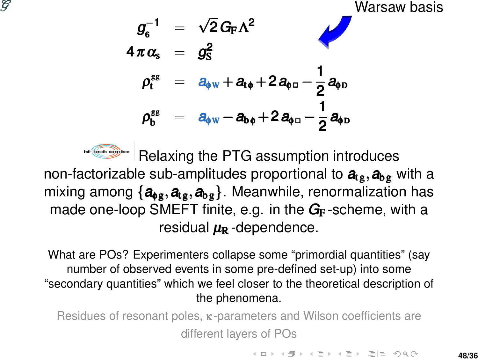



hi-tech center Relaxing the PTG assumption introduces

non-factorizable sub-amplitudes proportional to  $a_{1g}, a_{bg}$  with a mixing among  ${a_{\phi_{\alpha}, a_{\epsilon_{\beta}, a_{\beta}}}}$ . Meanwhile, renormalization has made one-loop SMEFT finite, e.g. in the G<sub>F</sub>-scheme, with a residual  $\mu_{\rm R}$  -dependence.

What are POs? Experimenters collapse some "primordial quantities" (say number of observed events in some pre-defined set-up) into some "secondary quantities" which we feel closer to the theoretical description of the phenomena.

Residues of resonant poles, κ -parameters and Wilson coefficients are different layers of POs

K ロ > K @ > K 로 > K 로 > \_로 및 0 9 0 0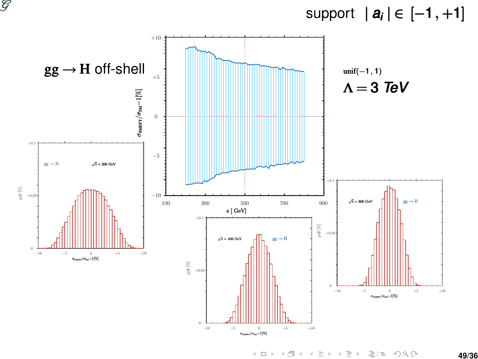



→ 伊 → → ミ → → モ → 三 = つくぐ  $\left\{ \begin{array}{c} \square \end{array} \right\}$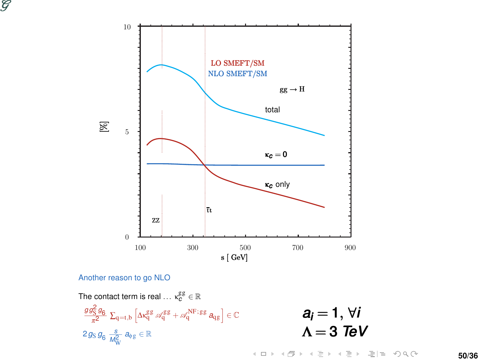



Another reason to go NLO

$$
\begin{aligned} &\text{The contact term is real } \dots \star^{\mathcal{E} \mathcal{B}}_G \in \mathbb{R} \\ &\frac{g g_S^2 g_6}{\pi^2} \, \Sigma_{q=t,b} \left[ \Delta \kappa^{\mathcal{B} \mathcal{B}}_q \, \mathscr{A}^{\mathcal{B} \mathcal{B}}_q + \mathscr{A}^{NF;gg}_q \, a_{qg} \right] \in \mathbb{C} \\ &2 g_S \, g_6 \, \frac{s}{\mathscr{M}_W^2} \, a_{\phi g} \in \mathbb{R} \end{aligned}
$$

$$
a_i = 1, \forall i
$$
  

$$
\Lambda = 3 \text{ TeV}
$$

K ロ > K 倒 > K ミ > K ミ > [ 콘 H = K) Q Q Q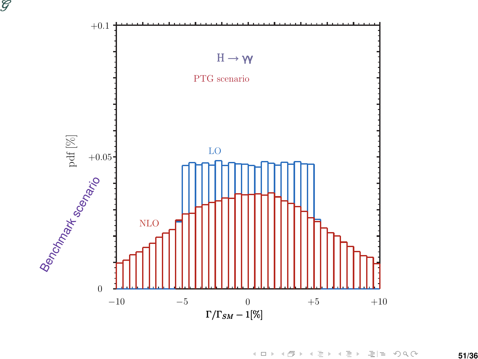



**51/36**

K ロ > K @ > K ミ > K ミ > - ミ|ㄹ -9 Q @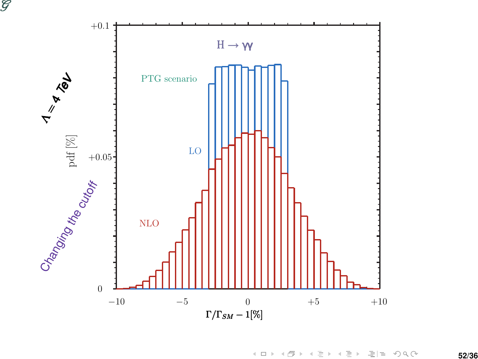

K ロ > K @ > K ミ > K ミ > - ミ|ㄹ -9 Q @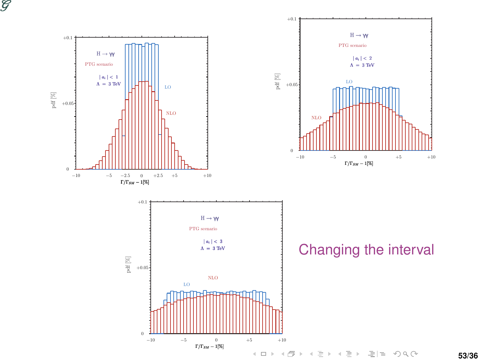